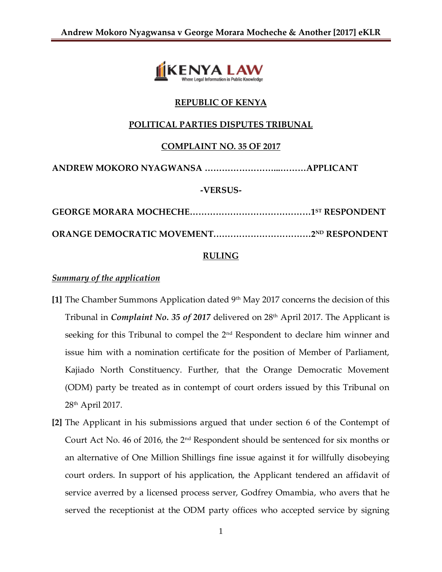

## **REPUBLIC OF KENYA**

### **POLITICAL PARTIES DISPUTES TRIBUNAL**

### **COMPLAINT NO. 35 OF 2017**

**ANDREW MOKORO NYAGWANSA ……………………...………APPLICANT**

#### **-VERSUS-**

**GEORGE MORARA MOCHECHE……………………………………1 ST RESPONDENT ORANGE DEMOCRATIC MOVEMENT.……………………………2ND RESPONDENT**

### **RULING**

#### *Summary of the application*

- **[1]** The Chamber Summons Application dated 9th May 2017 concerns the decision of this Tribunal in *Complaint No. 35 of 2017* delivered on 28th April 2017. The Applicant is seeking for this Tribunal to compel the 2<sup>nd</sup> Respondent to declare him winner and issue him with a nomination certificate for the position of Member of Parliament, Kajiado North Constituency. Further, that the Orange Democratic Movement (ODM) party be treated as in contempt of court orders issued by this Tribunal on 28th April 2017.
- **[2]** The Applicant in his submissions argued that under section 6 of the Contempt of Court Act No. 46 of 2016, the 2nd Respondent should be sentenced for six months or an alternative of One Million Shillings fine issue against it for willfully disobeying court orders. In support of his application, the Applicant tendered an affidavit of service averred by a licensed process server, Godfrey Omambia, who avers that he served the receptionist at the ODM party offices who accepted service by signing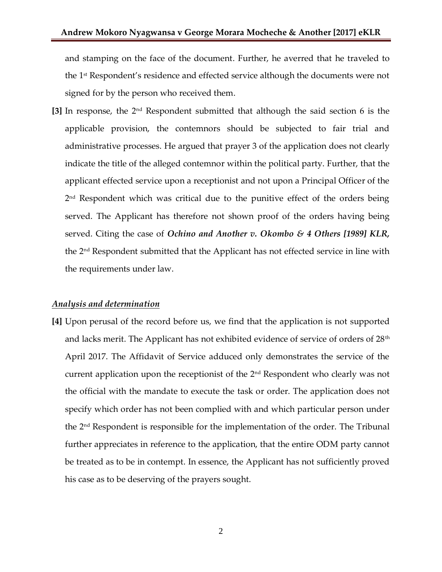and stamping on the face of the document. Further, he averred that he traveled to the 1 st Respondent's residence and effected service although the documents were not signed for by the person who received them.

**[3]** In response, the 2nd Respondent submitted that although the said section 6 is the applicable provision, the contemnors should be subjected to fair trial and administrative processes. He argued that prayer 3 of the application does not clearly indicate the title of the alleged contemnor within the political party. Further, that the applicant effected service upon a receptionist and not upon a Principal Officer of the 2 nd Respondent which was critical due to the punitive effect of the orders being served. The Applicant has therefore not shown proof of the orders having being served. Citing the case of *Ochino and Another v. Okombo & 4 Others [1989] KLR,*  the 2nd Respondent submitted that the Applicant has not effected service in line with the requirements under law.

#### *Analysis and determination*

**[4]** Upon perusal of the record before us, we find that the application is not supported and lacks merit. The Applicant has not exhibited evidence of service of orders of  $28<sup>th</sup>$ April 2017. The Affidavit of Service adduced only demonstrates the service of the current application upon the receptionist of the 2nd Respondent who clearly was not the official with the mandate to execute the task or order. The application does not specify which order has not been complied with and which particular person under the  $2<sup>nd</sup>$  Respondent is responsible for the implementation of the order. The Tribunal further appreciates in reference to the application, that the entire ODM party cannot be treated as to be in contempt. In essence, the Applicant has not sufficiently proved his case as to be deserving of the prayers sought.